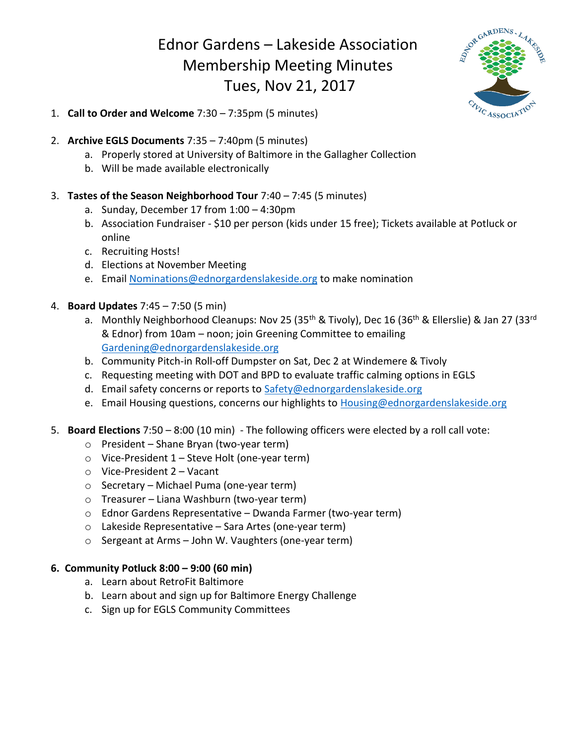## Ednor Gardens – Lakeside Association Membership Meeting Minutes Tues, Nov 21, 2017



- 1. **Call to Order and Welcome** 7:30 7:35pm (5 minutes)
- 2. **Archive EGLS Documents** 7:35 7:40pm (5 minutes)
	- a. Properly stored at University of Baltimore in the Gallagher Collection
	- b. Will be made available electronically
- 3. **Tastes of the Season Neighborhood Tour** 7:40 7:45 (5 minutes)
	- a. Sunday, December 17 from 1:00 4:30pm
	- b. Association Fundraiser \$10 per person (kids under 15 free); Tickets available at Potluck or online
	- c. Recruiting Hosts!
	- d. Elections at November Meeting
	- e. Email [Nominations@ednorgardenslakeside.org](mailto:Nominations@ednorgardenslakeside.org) to make nomination
- 4. **Board Updates** 7:45 7:50 (5 min)
	- a. Monthly Neighborhood Cleanups: Nov 25 (35<sup>th</sup> & Tivoly), Dec 16 (36<sup>th</sup> & Ellerslie) & Jan 27 (33<sup>rd</sup> & Ednor) from 10am – noon; join Greening Committee to emailing [Gardening@ednorgardenslakeside.org](mailto:Gardening@ednorgardenslakeside.org)
	- b. Community Pitch-in Roll-off Dumpster on Sat, Dec 2 at Windemere & Tivoly
	- c. Requesting meeting with DOT and BPD to evaluate traffic calming options in EGLS
	- d. Email safety concerns or reports to [Safety@ednorgardenslakeside.org](mailto:Safety@ednorgardenslakeside.org)
	- e. Email Housing questions, concerns our highlights to [Housing@ednorgardenslakeside.org](mailto:Housing@ednorgardenslakeside.org)
- 5. **Board Elections** 7:50 8:00 (10 min) The following officers were elected by a roll call vote:
	- o President Shane Bryan (two-year term)
	- o Vice-President 1 Steve Holt (one-year term)
	- o Vice-President 2 Vacant
	- o Secretary Michael Puma (one-year term)
	- o Treasurer Liana Washburn (two-year term)
	- o Ednor Gardens Representative Dwanda Farmer (two-year term)
	- o Lakeside Representative Sara Artes (one-year term)
	- o Sergeant at Arms John W. Vaughters (one-year term)

## **6. Community Potluck 8:00 – 9:00 (60 min)**

- a. Learn about RetroFit Baltimore
- b. Learn about and sign up for Baltimore Energy Challenge
- c. Sign up for EGLS Community Committees